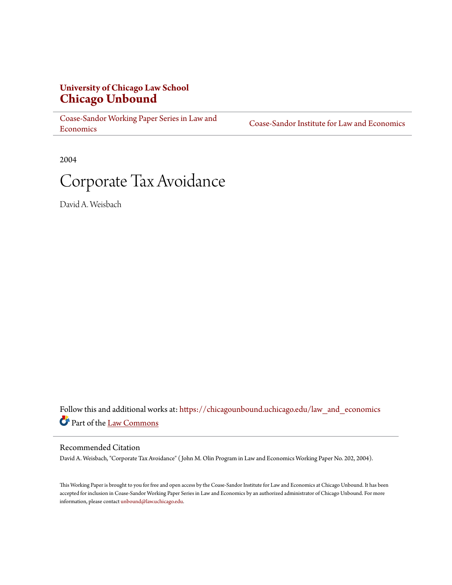# **University of Chicago Law School [Chicago Unbound](https://chicagounbound.uchicago.edu?utm_source=chicagounbound.uchicago.edu%2Flaw_and_economics%2F138&utm_medium=PDF&utm_campaign=PDFCoverPages)**

[Coase-Sandor Working Paper Series in Law and](https://chicagounbound.uchicago.edu/law_and_economics?utm_source=chicagounbound.uchicago.edu%2Flaw_and_economics%2F138&utm_medium=PDF&utm_campaign=PDFCoverPages) [Economics](https://chicagounbound.uchicago.edu/law_and_economics?utm_source=chicagounbound.uchicago.edu%2Flaw_and_economics%2F138&utm_medium=PDF&utm_campaign=PDFCoverPages)

[Coase-Sandor Institute for Law and Economics](https://chicagounbound.uchicago.edu/coase_sandor_institute?utm_source=chicagounbound.uchicago.edu%2Flaw_and_economics%2F138&utm_medium=PDF&utm_campaign=PDFCoverPages)

2004

# Corporate Tax Avoidance

David A. Weisbach

Follow this and additional works at: [https://chicagounbound.uchicago.edu/law\\_and\\_economics](https://chicagounbound.uchicago.edu/law_and_economics?utm_source=chicagounbound.uchicago.edu%2Flaw_and_economics%2F138&utm_medium=PDF&utm_campaign=PDFCoverPages) Part of the [Law Commons](http://network.bepress.com/hgg/discipline/578?utm_source=chicagounbound.uchicago.edu%2Flaw_and_economics%2F138&utm_medium=PDF&utm_campaign=PDFCoverPages)

#### Recommended Citation

David A. Weisbach, "Corporate Tax Avoidance" ( John M. Olin Program in Law and Economics Working Paper No. 202, 2004).

This Working Paper is brought to you for free and open access by the Coase-Sandor Institute for Law and Economics at Chicago Unbound. It has been accepted for inclusion in Coase-Sandor Working Paper Series in Law and Economics by an authorized administrator of Chicago Unbound. For more information, please contact [unbound@law.uchicago.edu.](mailto:unbound@law.uchicago.edu)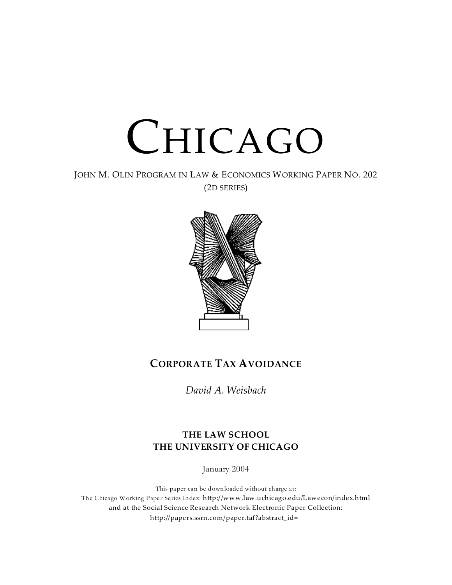

JOHN M. OLIN PROGRAM IN LAW & ECONOMICS WORKING PAPER NO. 202 (2D SERIES)



# **CORPORATE TAX AVOIDANCE**

*David A. Weisbach*

# **THE LAW SCHOOL THE UNIVERSITY OF CHICAGO**

January 2004

This paper can be downloaded without charge at: The Chicago Working Paper Series Index: http://www.law.uchicago.edu/Lawecon/index.html and at the Social Science Research Network Electronic Paper Collection: http://papers.ssrn.com/paper.taf?abstract\_id=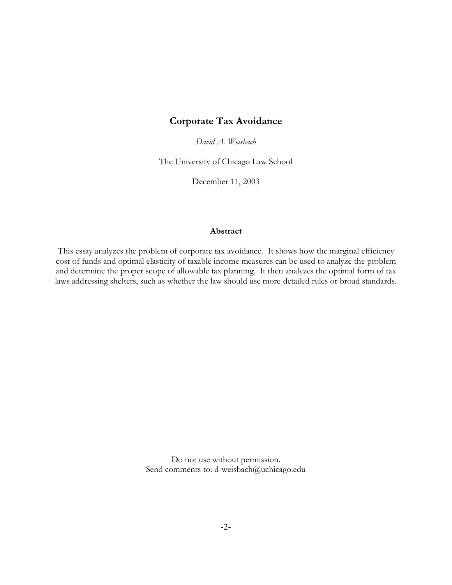### **Corporate Tax Avoidance**

*David A. Weisbach*

The University of Chicago Law School

December 11, 2003

#### **Abstract**

This essay analyzes the problem of corporate tax avoidance. It shows how the marginal efficiency cost of funds and optimal elasticity of taxable income measures can be used to analyze the problem and determine the proper scope of allowable tax planning. It then analyzes the optimal form of tax laws addressing shelters, such as whether the law should use more detailed rules or broad standards.

> Do not use without permission. Send comments to: d-weisbach@uchicago.edu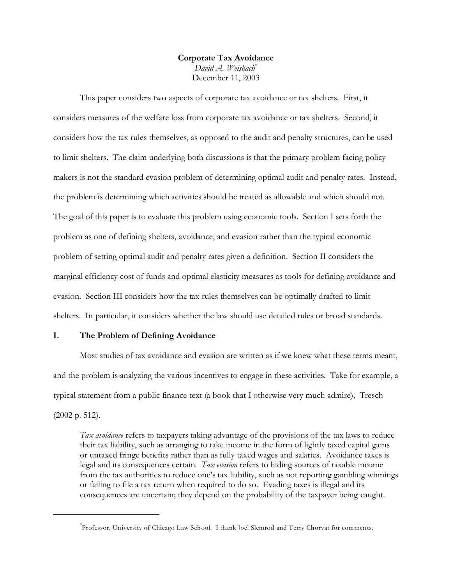#### **Corporate Tax Avoidance** *David A. Weisbach*\* December 11, 2003

This paper considers two aspects of corporate tax avoidance or tax shelters. First, it considers measures of the welfare loss from corporate tax avoidance or tax shelters. Second, it considers how the tax rules themselves, as opposed to the audit and penalty structures, can be used to limit shelters. The claim underlying both discussions is that the primary problem facing policy makers is not the standard evasion problem of determining optimal audit and penalty rates. Instead, the problem is determining which activities should be treated as allowable and which should not. The goal of this paper is to evaluate this problem using economic tools. Section I sets forth the problem as one of defining shelters, avoidance, and evasion rather than the typical economic problem of setting optimal audit and penalty rates given a definition. Section II considers the marginal efficiency cost of funds and optimal elasticity measures as tools for defining avoidance and evasion. Section III considers how the tax rules themselves can be optimally drafted to limit shelters. In particular, it considers whether the law should use detailed rules or broad standards.

#### **I. The Problem of Defining Avoidance**

Most studies of tax avoidance and evasion are written as if we knew what these terms meant, and the problem is analyzing the various incentives to engage in these activities. Take for example, a typical statement from a public finance text (a book that I otherwise very much admire), Tresch (2002 p. 512).

*Tax avoidance* refers to taxpayers taking advantage of the provisions of the tax laws to reduce their tax liability, such as arranging to take income in the form of lightly taxed capital gains or untaxed fringe benefits rather than as fully taxed wages and salaries. Avoidance taxes is legal and its consequences certain. *Tax evasion* refers to hiding sources of taxable income from the tax authorities to reduce one's tax liability, such as not reporting gambling winnings or failing to file a tax return when required to do so. Evading taxes is illegal and its consequences are uncertain; they depend on the probability of the taxpayer being caught.

<sup>\*</sup> Professor, University of Chicago Law School. I thank Joel Slemrod and Terry Chorvat for comments.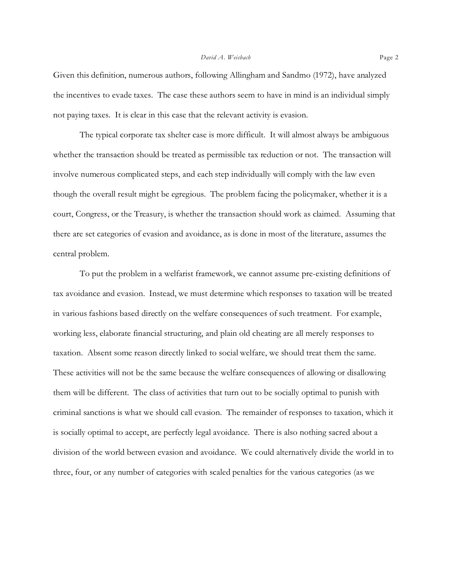Given this definition, numerous authors, following Allingham and Sandmo (1972), have analyzed the incentives to evade taxes. The case these authors seem to have in mind is an individual simply not paying taxes. It is clear in this case that the relevant activity is evasion.

The typical corporate tax shelter case is more difficult. It will almost always be ambiguous whether the transaction should be treated as permissible tax reduction or not. The transaction will involve numerous complicated steps, and each step individually will comply with the law even though the overall result might be egregious. The problem facing the policymaker, whether it is a court, Congress, or the Treasury, is whether the transaction should work as claimed. Assuming that there are set categories of evasion and avoidance, as is done in most of the literature, assumes the central problem.

To put the problem in a welfarist framework, we cannot assume pre-existing definitions of tax avoidance and evasion. Instead, we must determine which responses to taxation will be treated in various fashions based directly on the welfare consequences of such treatment. For example, working less, elaborate financial structuring, and plain old cheating are all merely responses to taxation. Absent some reason directly linked to social welfare, we should treat them the same. These activities will not be the same because the welfare consequences of allowing or disallowing them will be different. The class of activities that turn out to be socially optimal to punish with criminal sanctions is what we should call evasion. The remainder of responses to taxation, which it is socially optimal to accept, are perfectly legal avoidance. There is also nothing sacred about a division of the world between evasion and avoidance. We could alternatively divide the world in to three, four, or any number of categories with scaled penalties for the various categories (as we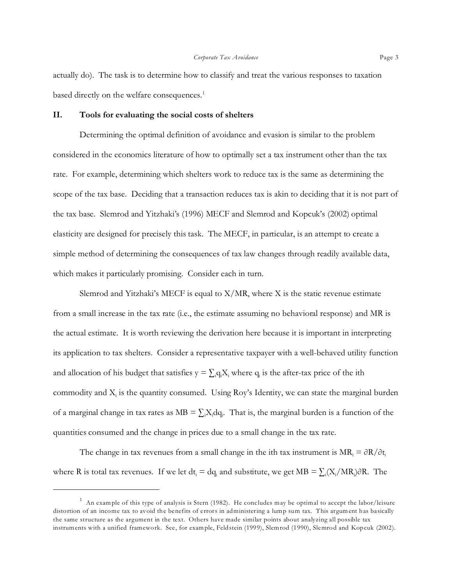actually do). The task is to determine how to classify and treat the various responses to taxation based directly on the welfare consequences.<sup>1</sup>

#### **II. Tools for evaluating the social costs of shelters**

Determining the optimal definition of avoidance and evasion is similar to the problem considered in the economics literature of how to optimally set a tax instrument other than the tax rate. For example, determining which shelters work to reduce tax is the same as determining the scope of the tax base. Deciding that a transaction reduces tax is akin to deciding that it is not part of the tax base. Slemrod and Yitzhaki's (1996) MECF and Slemrod and Kopcuk's (2002) optimal elasticity are designed for precisely this task. The MECF, in particular, is an attempt to create a simple method of determining the consequences of tax law changes through readily available data, which makes it particularly promising. Consider each in turn.

Slemrod and Yitzhaki's MECF is equal to  $X/MR$ , where X is the static revenue estimate from a small increase in the tax rate (i.e., the estimate assuming no behavioral response) and MR is the actual estimate. It is worth reviewing the derivation here because it is important in interpreting its application to tax shelters. Consider a representative taxpayer with a well-behaved utility function and allocation of his budget that satisfies  $y = \sum_i q_i X_i$  where  $q_i$  is the after-tax price of the ith commodity and  $X_i$  is the quantity consumed. Using Roy's Identity, we can state the marginal burden of a marginal change in tax rates as  $MB = \sum_i X_i dq_i$ . That is, the marginal burden is a function of the quantities consumed and the change in prices due to a small change in the tax rate.

The change in tax revenues from a small change in the ith tax instrument is  $MR_i = \partial R/\partial t_i$ where R is total tax revenues. If we let  $dt_i = dq_i$  and substitute, we get  $MB = \sum_i (X_i/MR_i)\partial R$ . The

 $^1$  An example of this type of analysis is Stern (1982). He concludes may be optimal to accept the labor/leisure distortion of an income tax to avoid the benefits of errors in administering a lump sum tax. This argument has basically the same structure as the argument in the text. Others have made similar points about analyzing all possible tax instruments with a unified framework. See, for example, Feldstein (1999), Slemrod (1990), Slemrod and Kopcuk (2002).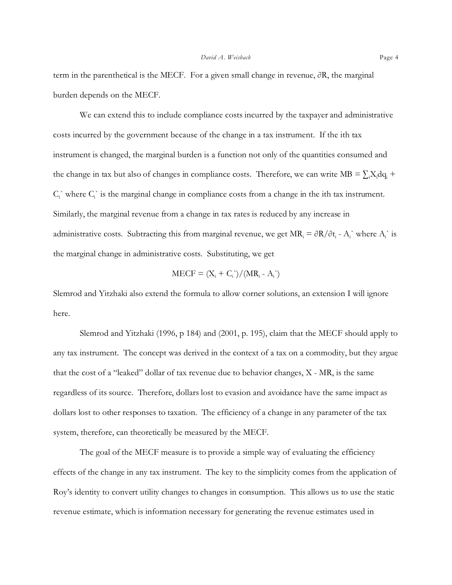term in the parenthetical is the MECF. For a given small change in revenue,  $\partial R$ , the marginal burden depends on the MECF.

We can extend this to include compliance costs incurred by the taxpayer and administrative costs incurred by the government because of the change in a tax instrument. If the ith tax instrument is changed, the marginal burden is a function not only of the quantities consumed and the change in tax but also of changes in compliance costs. Therefore, we can write  $MB = \sum_i X_i dq_i +$  $C_i$  where  $C_i$  is the marginal change in compliance costs from a change in the ith tax instrument. Similarly, the marginal revenue from a change in tax rates is reduced by any increase in administrative costs. Subtracting this from marginal revenue, we get  $MR_i = \partial R/\partial t_i$  -  $A_i$  where  $A_i$  is the marginal change in administrative costs. Substituting, we get

$$
MECF = (X_i + C_i) / (MR_i - A_i)
$$

Slemrod and Yitzhaki also extend the formula to allow corner solutions, an extension I will ignore here.

Slemrod and Yitzhaki (1996, p 184) and (2001, p. 195), claim that the MECF should apply to any tax instrument. The concept was derived in the context of a tax on a commodity, but they argue that the cost of a "leaked" dollar of tax revenue due to behavior changes, X - MR, is the same regardless of its source. Therefore, dollars lost to evasion and avoidance have the same impact as dollars lost to other responses to taxation. The efficiency of a change in any parameter of the tax system, therefore, can theoretically be measured by the MECF.

The goal of the MECF measure is to provide a simple way of evaluating the efficiency effects of the change in any tax instrument. The key to the simplicity comes from the application of Roy's identity to convert utility changes to changes in consumption. This allows us to use the static revenue estimate, which is information necessary for generating the revenue estimates used in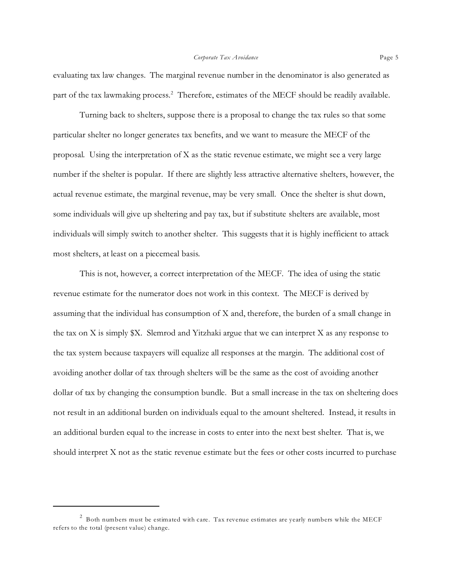evaluating tax law changes. The marginal revenue number in the denominator is also generated as part of the tax lawmaking process.<sup>2</sup> Therefore, estimates of the MECF should be readily available.

Turning back to shelters, suppose there is a proposal to change the tax rules so that some particular shelter no longer generates tax benefits, and we want to measure the MECF of the proposal. Using the interpretation of X as the static revenue estimate, we might see a very large number if the shelter is popular. If there are slightly less attractive alternative shelters, however, the actual revenue estimate, the marginal revenue, may be very small. Once the shelter is shut down, some individuals will give up sheltering and pay tax, but if substitute shelters are available, most individuals will simply switch to another shelter. This suggests that it is highly inefficient to attack most shelters, at least on a piecemeal basis.

This is not, however, a correct interpretation of the MECF. The idea of using the static revenue estimate for the numerator does not work in this context. The MECF is derived by assuming that the individual has consumption of X and, therefore, the burden of a small change in the tax on X is simply  $X$ . Slemrod and Yitzhaki argue that we can interpret X as any response to the tax system because taxpayers will equalize all responses at the margin. The additional cost of avoiding another dollar of tax through shelters will be the same as the cost of avoiding another dollar of tax by changing the consumption bundle. But a small increase in the tax on sheltering does not result in an additional burden on individuals equal to the amount sheltered. Instead, it results in an additional burden equal to the increase in costs to enter into the next best shelter. That is, we should interpret X not as the static revenue estimate but the fees or other costs incurred to purchase

 $^2$  Both numbers must be estimated with care. Tax revenue estimates are yearly numbers while the MECF refers to the total (present value) change.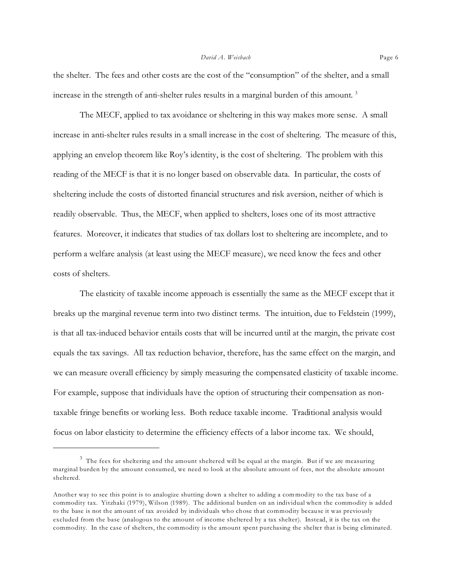the shelter. The fees and other costs are the cost of the "consumption" of the shelter, and a small increase in the strength of anti-shelter rules results in a marginal burden of this amount.  $^3$ 

The MECF, applied to tax avoidance or sheltering in this way makes more sense. A small increase in anti-shelter rules results in a small increase in the cost of sheltering. The measure of this, applying an envelop theorem like Roy's identity, is the cost of sheltering. The problem with this reading of the MECF is that it is no longer based on observable data. In particular, the costs of sheltering include the costs of distorted financial structures and risk aversion, neither of which is readily observable. Thus, the MECF, when applied to shelters, loses one of its most attractive features. Moreover, it indicates that studies of tax dollars lost to sheltering are incomplete, and to perform a welfare analysis (at least using the MECF measure), we need know the fees and other costs of shelters.

The elasticity of taxable income approach is essentially the same as the MECF except that it breaks up the marginal revenue term into two distinct terms. The intuition, due to Feldstein (1999), is that all tax-induced behavior entails costs that will be incurred until at the margin, the private cost equals the tax savings. All tax reduction behavior, therefore, has the same effect on the margin, and we can measure overall efficiency by simply measuring the compensated elasticity of taxable income. For example, suppose that individuals have the option of structuring their compensation as nontaxable fringe benefits or working less. Both reduce taxable income. Traditional analysis would focus on labor elasticity to determine the efficiency effects of a labor income tax. We should,

 $^3$  The fees for sheltering and the amount sheltered will be equal at the margin. But if we are measuring marginal burden by the amount consumed, we need to look at the absolute amount of fees, not the absolute amount sheltered.

Another way to see this point is to analogize shutting down a shelter to adding a commodity to the tax base of a commodity tax. Yitzhaki (1979), Wilson (1989). The additional burden on an individual when the commodity is added to the base is not the amount of tax avoided by individuals who chose that commodity because it was previously excluded from the base (analogous to the amount of income sheltered by a tax shelter). Instead, it is the tax on the commodity. In the case of shelters, the commodity is the amount spent purchasing the shelter that is being eliminated.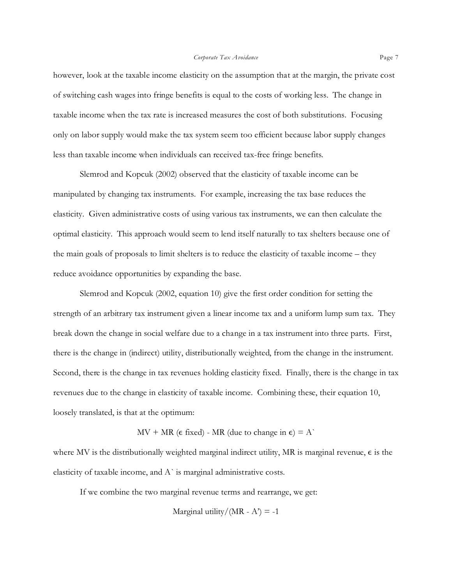however, look at the taxable income elasticity on the assumption that at the margin, the private cost of switching cash wages into fringe benefits is equal to the costs of working less. The change in taxable income when the tax rate is increased measures the cost of both substitutions. Focusing only on labor supply would make the tax system seem too efficient because labor supply changes less than taxable income when individuals can received tax-free fringe benefits.

Slemrod and Kopcuk (2002) observed that the elasticity of taxable income can be manipulated by changing tax instruments. For example, increasing the tax base reduces the elasticity. Given administrative costs of using various tax instruments, we can then calculate the optimal elasticity. This approach would seem to lend itself naturally to tax shelters because one of the main goals of proposals to limit shelters is to reduce the elasticity of taxable income – they reduce avoidance opportunities by expanding the base.

Slemrod and Kopcuk (2002, equation 10) give the first order condition for setting the strength of an arbitrary tax instrument given a linear income tax and a uniform lump sum tax. They break down the change in social welfare due to a change in a tax instrument into three parts. First, there is the change in (indirect) utility, distributionally weighted, from the change in the instrument. Second, there is the change in tax revenues holding elasticity fixed. Finally, there is the change in tax revenues due to the change in elasticity of taxable income. Combining these, their equation 10, loosely translated, is that at the optimum:

 $MV + MR$  ( $\epsilon$  fixed) - MR (due to change in  $\epsilon$ ) = A`

where MV is the distributionally weighted marginal indirect utility, MR is marginal revenue,  $\epsilon$  is the elasticity of taxable income, and  $A^{\dagger}$  is marginal administrative costs.

If we combine the two marginal revenue terms and rearrange, we get:

Marginal utility/(MR - A') = -1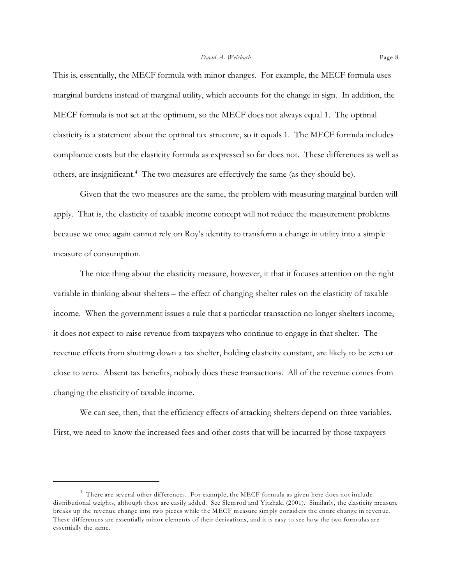This is, essentially, the MECF formula with minor changes. For example, the MECF formula uses marginal burdens instead of marginal utility, which accounts for the change in sign. In addition, the MECF formula is not set at the optimum, so the MECF does not always equal 1. The optimal elasticity is a statement about the optimal tax structure, so it equals 1. The MECF formula includes compliance costs but the elasticity formula as expressed so far does not. These differences as well as others, are insignificant.<sup>4</sup> The two measures are effectively the same (as they should be).

Given that the two measures are the same, the problem with measuring marginal burden will apply. That is, the elasticity of taxable income concept will not reduce the measurement problems because we once again cannot rely on Roy's identity to transform a change in utility into a simple measure of consumption.

The nice thing about the elasticity measure, however, it that it focuses attention on the right variable in thinking about shelters – the effect of changing shelter rules on the elasticity of taxable income. When the government issues a rule that a particular transaction no longer shelters income, it does not expect to raise revenue from taxpayers who continue to engage in that shelter. The revenue effects from shutting down a tax shelter, holding elasticity constant, are likely to be zero or close to zero. Absent tax benefits, nobody does these transactions. All of the revenue comes from changing the elasticity of taxable income.

We can see, then, that the efficiency effects of attacking shelters depend on three variables. First, we need to know the increased fees and other costs that will be incurred by those taxpayers

<sup>&</sup>lt;sup>4</sup> There are several other differences. For example, the MECF formula as given here does not include distributional weights, although these are easily added. See Slemrod and Yitzhaki (2001). Similarly, the elasticity measure breaks up the revenue change into two pieces while the MECF measure simply considers the entire change in revenue. These differences are essentially minor elements of their derivations, and it is easy to see how the two formulas are essentially the same.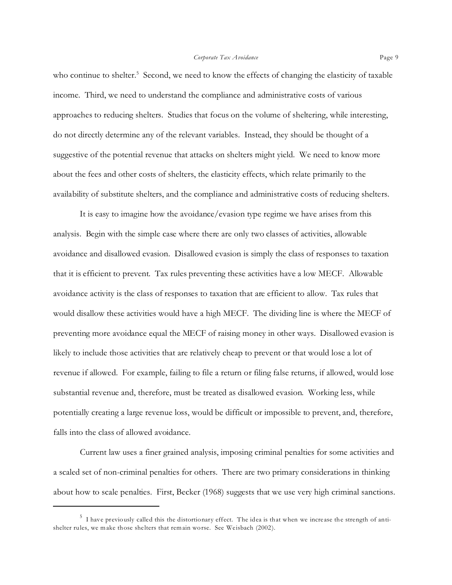who continue to shelter.<sup>5</sup> Second, we need to know the effects of changing the elasticity of taxable income. Third, we need to understand the compliance and administrative costs of various approaches to reducing shelters. Studies that focus on the volume of sheltering, while interesting, do not directly determine any of the relevant variables. Instead, they should be thought of a suggestive of the potential revenue that attacks on shelters might yield. We need to know more about the fees and other costs of shelters, the elasticity effects, which relate primarily to the availability of substitute shelters, and the compliance and administrative costs of reducing shelters.

It is easy to imagine how the avoidance/evasion type regime we have arises from this analysis. Begin with the simple case where there are only two classes of activities, allowable avoidance and disallowed evasion. Disallowed evasion is simply the class of responses to taxation that it is efficient to prevent. Tax rules preventing these activities have a low MECF. Allowable avoidance activity is the class of responses to taxation that are efficient to allow. Tax rules that would disallow these activities would have a high MECF. The dividing line is where the MECF of preventing more avoidance equal the MECF of raising money in other ways. Disallowed evasion is likely to include those activities that are relatively cheap to prevent or that would lose a lot of revenue if allowed. For example, failing to file a return or filing false returns, if allowed, would lose substantial revenue and, therefore, must be treated as disallowed evasion. Working less, while potentially creating a large revenue loss, would be difficult or impossible to prevent, and, therefore, falls into the class of allowed avoidance.

Current law uses a finer grained analysis, imposing criminal penalties for some activities and a scaled set of non-criminal penalties for others. There are two primary considerations in thinking about how to scale penalties. First, Becker (1968) suggests that we use very high criminal sanctions.

 $^5$  I have previously called this the distortionary effect. The idea is that when we increase the strength of antishelter rules, we make those shelters that remain worse. See Weisbach (2002).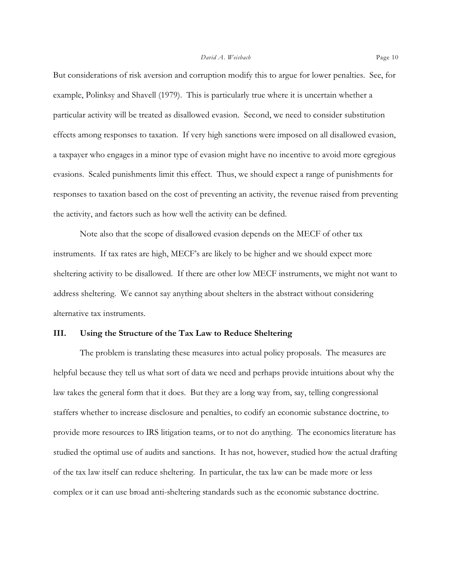But considerations of risk aversion and corruption modify this to argue for lower penalties. See, for example, Polinksy and Shavell (1979). This is particularly true where it is uncertain whether a particular activity will be treated as disallowed evasion. Second, we need to consider substitution effects among responses to taxation. If very high sanctions were imposed on all disallowed evasion, a taxpayer who engages in a minor type of evasion might have no incentive to avoid more egregious evasions. Scaled punishments limit this effect. Thus, we should expect a range of punishments for responses to taxation based on the cost of preventing an activity, the revenue raised from preventing the activity, and factors such as how well the activity can be defined.

Note also that the scope of disallowed evasion depends on the MECF of other tax instruments. If tax rates are high, MECF's are likely to be higher and we should expect more sheltering activity to be disallowed. If there are other low MECF instruments, we might not want to address sheltering. We cannot say anything about shelters in the abstract without considering alternative tax instruments.

#### **III. Using the Structure of the Tax Law to Reduce Sheltering**

The problem is translating these measures into actual policy proposals. The measures are helpful because they tell us what sort of data we need and perhaps provide intuitions about why the law takes the general form that it does. But they are a long way from, say, telling congressional staffers whether to increase disclosure and penalties, to codify an economic substance doctrine, to provide more resources to IRS litigation teams, or to not do anything. The economics literature has studied the optimal use of audits and sanctions. It has not, however, studied how the actual drafting of the tax law itself can reduce sheltering. In particular, the tax law can be made more or less complex or it can use broad anti-sheltering standards such as the economic substance doctrine.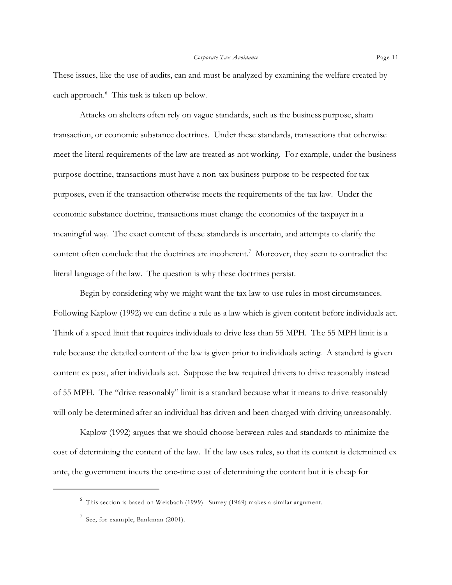These issues, like the use of audits, can and must be analyzed by examining the welfare created by each approach.<sup>6</sup> This task is taken up below.

Attacks on shelters often rely on vague standards, such as the business purpose, sham transaction, or economic substance doctrines. Under these standards, transactions that otherwise meet the literal requirements of the law are treated as not working. For example, under the business purpose doctrine, transactions must have a non-tax business purpose to be respected for tax purposes, even if the transaction otherwise meets the requirements of the tax law. Under the economic substance doctrine, transactions must change the economics of the taxpayer in a meaningful way. The exact content of these standards is uncertain, and attempts to clarify the content often conclude that the doctrines are incoherent.<sup>7</sup> Moreover, they seem to contradict the literal language of the law. The question is why these doctrines persist.

Begin by considering why we might want the tax law to use rules in most circumstances. Following Kaplow (1992) we can define a rule as a law which is given content before individuals act. Think of a speed limit that requires individuals to drive less than 55 MPH. The 55 MPH limit is a rule because the detailed content of the law is given prior to individuals acting. A standard is given content ex post, after individuals act. Suppose the law required drivers to drive reasonably instead of 55 MPH. The "drive reasonably" limit is a standard because what it means to drive reasonably will only be determined after an individual has driven and been charged with driving unreasonably.

Kaplow (1992) argues that we should choose between rules and standards to minimize the cost of determining the content of the law. If the law uses rules, so that its content is determined ex ante, the government incurs the one-time cost of determining the content but it is cheap for

 $^6$  This section is based on Weisbach (1999). Surrey (1969) makes a similar argument.

 $^7$  See, for example, Bankman (2001).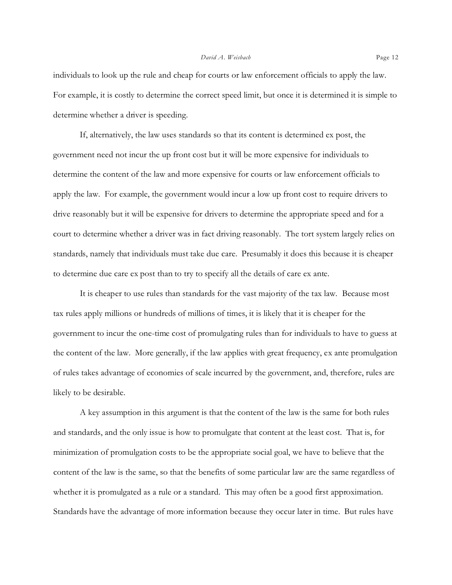individuals to look up the rule and cheap for courts or law enforcement officials to apply the law. For example, it is costly to determine the correct speed limit, but once it is determined it is simple to determine whether a driver is speeding.

If, alternatively, the law uses standards so that its content is determined ex post, the government need not incur the up front cost but it will be more expensive for individuals to determine the content of the law and more expensive for courts or law enforcement officials to apply the law. For example, the government would incur a low up front cost to require drivers to drive reasonably but it will be expensive for drivers to determine the appropriate speed and for a court to determine whether a driver was in fact driving reasonably. The tort system largely relies on standards, namely that individuals must take due care. Presumably it does this because it is cheaper to determine due care ex post than to try to specify all the details of care ex ante.

It is cheaper to use rules than standards for the vast majority of the tax law. Because most tax rules apply millions or hundreds of millions of times, it is likely that it is cheaper for the government to incur the one-time cost of promulgating rules than for individuals to have to guess at the content of the law. More generally, if the law applies with great frequency, ex ante promulgation of rules takes advantage of economies of scale incurred by the government, and, therefore, rules are likely to be desirable.

A key assumption in this argument is that the content of the law is the same for both rules and standards, and the only issue is how to promulgate that content at the least cost. That is, for minimization of promulgation costs to be the appropriate social goal, we have to believe that the content of the law is the same, so that the benefits of some particular law are the same regardless of whether it is promulgated as a rule or a standard. This may often be a good first approximation. Standards have the advantage of more information because they occur later in time. But rules have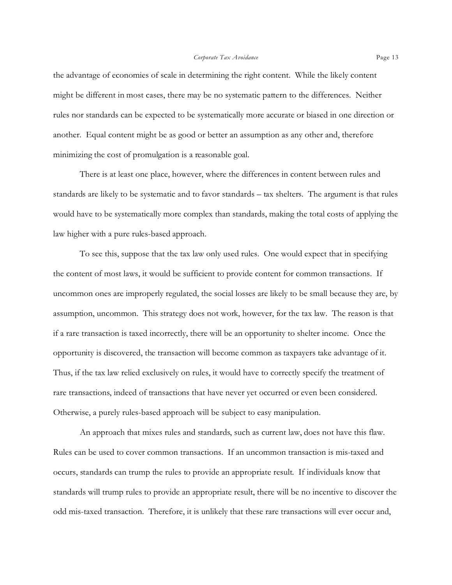the advantage of economies of scale in determining the right content. While the likely content might be different in most cases, there may be no systematic pattern to the differences. Neither rules nor standards can be expected to be systematically more accurate or biased in one direction or another. Equal content might be as good or better an assumption as any other and, therefore minimizing the cost of promulgation is a reasonable goal.

There is at least one place, however, where the differences in content between rules and standards are likely to be systematic and to favor standards – tax shelters. The argument is that rules would have to be systematically more complex than standards, making the total costs of applying the law higher with a pure rules-based approach.

To see this, suppose that the tax law only used rules. One would expect that in specifying the content of most laws, it would be sufficient to provide content for common transactions. If uncommon ones are improperly regulated, the social losses are likely to be small because they are, by assumption, uncommon. This strategy does not work, however, for the tax law. The reason is that if a rare transaction is taxed incorrectly, there will be an opportunity to shelter income. Once the opportunity is discovered, the transaction will become common as taxpayers take advantage of it. Thus, if the tax law relied exclusively on rules, it would have to correctly specify the treatment of rare transactions, indeed of transactions that have never yet occurred or even been considered. Otherwise, a purely rules-based approach will be subject to easy manipulation.

An approach that mixes rules and standards, such as current law, does not have this flaw. Rules can be used to cover common transactions. If an uncommon transaction is mis-taxed and occurs, standards can trump the rules to provide an appropriate result. If individuals know that standards will trump rules to provide an appropriate result, there will be no incentive to discover the odd mis-taxed transaction. Therefore, it is unlikely that these rare transactions will ever occur and,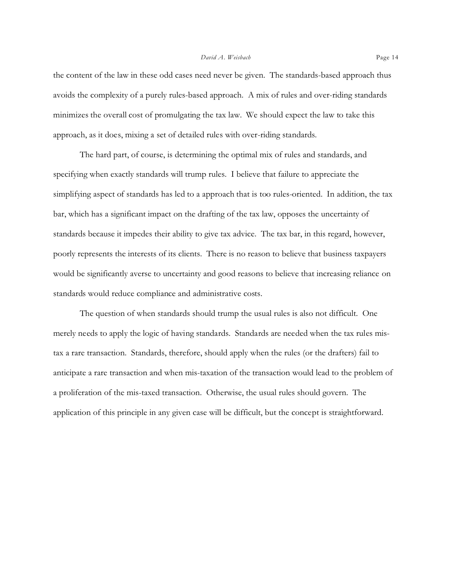the content of the law in these odd cases need never be given. The standards-based approach thus avoids the complexity of a purely rules-based approach. A mix of rules and over-riding standards minimizes the overall cost of promulgating the tax law. We should expect the law to take this approach, as it does, mixing a set of detailed rules with over-riding standards.

The hard part, of course, is determining the optimal mix of rules and standards, and specifying when exactly standards will trump rules. I believe that failure to appreciate the simplifying aspect of standards has led to a approach that is too rules-oriented. In addition, the tax bar, which has a significant impact on the drafting of the tax law, opposes the uncertainty of standards because it impedes their ability to give tax advice. The tax bar, in this regard, however, poorly represents the interests of its clients. There is no reason to believe that business taxpayers would be significantly averse to uncertainty and good reasons to believe that increasing reliance on standards would reduce compliance and administrative costs.

The question of when standards should trump the usual rules is also not difficult. One merely needs to apply the logic of having standards. Standards are needed when the tax rules mistax a rare transaction. Standards, therefore, should apply when the rules (or the drafters) fail to anticipate a rare transaction and when mis-taxation of the transaction would lead to the problem of a proliferation of the mis-taxed transaction. Otherwise, the usual rules should govern. The application of this principle in any given case will be difficult, but the concept is straightforward.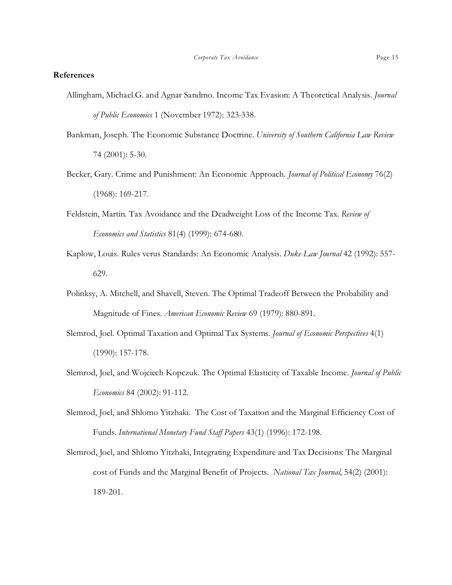#### **References**

- Allingham, Michael.G. and Agnar Sandmo. Income Tax Evasion: A Theoretical Analysis. *Journal of Public Economics* 1 (November 1972): 323-338.
- Bankman, Joseph. The Economic Substance Doctrine. *University of Southern California Law Review* 74 (2001): 5-30.
- Becker, Gary. Crime and Punishment: An Economic Approach. *Journal of Political Economy* 76(2) (1968): 169-217.
- Feldstein, Martin. Tax Avoidance and the Deadweight Loss of the Income Tax. *Review of Economics and Statistics* 81(4) (1999): 674-680.
- Kaplow, Louis. Rules verus Standards: An Economic Analysis. *Duke Law Journal* 42 (1992): 557- 629.
- Polinksy, A. Mitchell, and Shavell, Steven. The Optimal Tradeoff Between the Probability and Magnitude of Fines. *American Economic Review* 69 (1979): 880-891.
- Slemrod, Joel. Optimal Taxation and Optimal Tax Systems. *Journal of Economic Perspectives* 4(1) (1990): 157-178.
- Slemrod, Joel, and Wojciech Kopczuk. The Optimal Elasticity of Taxable Income. *Journal of Public Economics* 84 (2002): 91-112.
- Slemrod, Joel, and Shlomo Yitzhaki. The Cost of Taxation and the Marginal Efficiency Cost of Funds. *International Monetary Fund Staff Papers* 43(1) (1996): 172-198.
- Slemrod, Joel, and Shlomo Yitzhaki, Integrating Expenditure and Tax Decisions: The Marginal cost of Funds and the Marginal Benefit of Projects. *National Tax Journal*, 54(2) (2001): 189-201.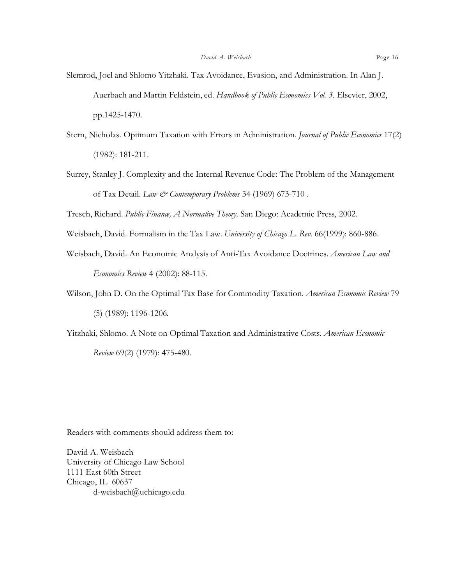- Slemrod, Joel and Shlomo Yitzhaki. Tax Avoidance, Evasion, and Administration. In Alan J. Auerbach and Martin Feldstein, ed. *Handbook of Public Economics Vol. 3.* Elsevier, 2002, pp.1425-1470.
- Stern, Nicholas. Optimum Taxation with Errors in Administration. *Journal of Public Economics* 17(2) (1982): 181-211.
- Surrey, Stanley J. Complexity and the Internal Revenue Code: The Problem of the Management of Tax Detail. *Law & Contemporary Problems* 34 (1969) 673-710 .

Tresch, Richard. *Public Finance, A Normative Theory.* San Diego: Academic Press, 2002.

- Weisbach, David. Formalism in the Tax Law. *University of Chicago L. Rev*. 66(1999): 860-886.
- Weisbach, David. An Economic Analysis of Anti-Tax Avoidance Doctrines. *American Law and Economics Review* 4 (2002): 88-115.
- Wilson, John D. On the Optimal Tax Base for Commodity Taxation. *American Economic Review* 79 (5) (1989): 1196-1206.
- Yitzhaki, Shlomo. A Note on Optimal Taxation and Administrative Costs. *American Economic*

*Review* 69(2) (1979): 475-480.

Readers with comments should address them to:

David A. Weisbach University of Chicago Law School 1111 East 60th Street Chicago, IL 60637 d-weisbach@uchicago.edu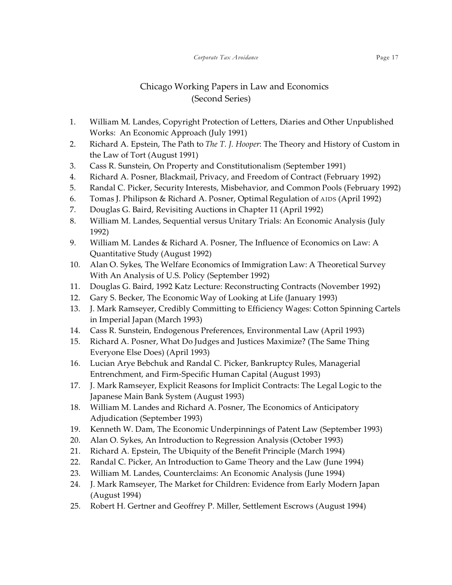## Chicago Working Papers in Law and Economics (Second Series)

- 1. William M. Landes, Copyright Protection of Letters, Diaries and Other Unpublished Works: An Economic Approach (July 1991)
- 2. Richard A. Epstein, The Path to *The T. J. Hooper*: The Theory and History of Custom in the Law of Tort (August 1991)
- 3. Cass R. Sunstein, On Property and Constitutionalism (September 1991)
- 4. Richard A. Posner, Blackmail, Privacy, and Freedom of Contract (February 1992)
- 5. Randal C. Picker, Security Interests, Misbehavior, and Common Pools (February 1992)
- 6. Tomas J. Philipson & Richard A. Posner, Optimal Regulation of AIDS (April 1992)
- 7. Douglas G. Baird, Revisiting Auctions in Chapter 11 (April 1992)
- 8. William M. Landes, Sequential versus Unitary Trials: An Economic Analysis (July 1992)
- 9. William M. Landes & Richard A. Posner, The Influence of Economics on Law: A Quantitative Study (August 1992)
- 10. Alan O. Sykes, The Welfare Economics of Immigration Law: A Theoretical Survey With An Analysis of U.S. Policy (September 1992)
- 11. Douglas G. Baird, 1992 Katz Lecture: Reconstructing Contracts (November 1992)
- 12. Gary S. Becker, The Economic Way of Looking at Life (January 1993)
- 13. J. Mark Ramseyer, Credibly Committing to Efficiency Wages: Cotton Spinning Cartels in Imperial Japan (March 1993)
- 14. Cass R. Sunstein, Endogenous Preferences, Environmental Law (April 1993)
- 15. Richard A. Posner, What Do Judges and Justices Maximize? (The Same Thing Everyone Else Does) (April 1993)
- 16. Lucian Arye Bebchuk and Randal C. Picker, Bankruptcy Rules, Managerial Entrenchment, and Firm-Specific Human Capital (August 1993)
- 17. J. Mark Ramseyer, Explicit Reasons for Implicit Contracts: The Legal Logic to the Japanese Main Bank System (August 1993)
- 18. William M. Landes and Richard A. Posner, The Economics of Anticipatory Adjudication (September 1993)
- 19. Kenneth W. Dam, The Economic Underpinnings of Patent Law (September 1993)
- 20. Alan O. Sykes, An Introduction to Regression Analysis (October 1993)
- 21. Richard A. Epstein, The Ubiquity of the Benefit Principle (March 1994)
- 22. Randal C. Picker, An Introduction to Game Theory and the Law (June 1994)
- 23. William M. Landes, Counterclaims: An Economic Analysis (June 1994)
- 24. J. Mark Ramseyer, The Market for Children: Evidence from Early Modern Japan (August 1994)
- 25. Robert H. Gertner and Geoffrey P. Miller, Settlement Escrows (August 1994)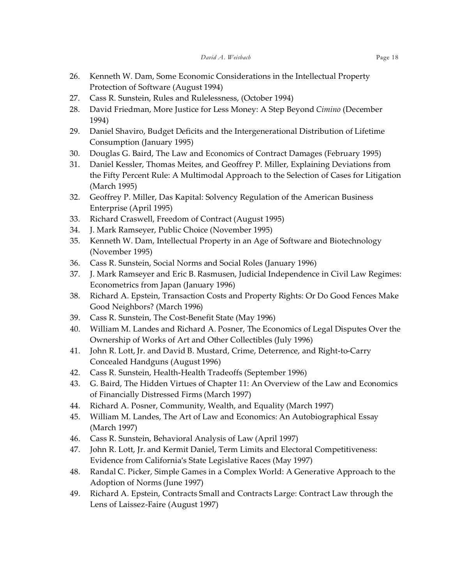- 26. Kenneth W. Dam, Some Economic Considerations in the Intellectual Property Protection of Software (August 1994)
- 27. Cass R. Sunstein, Rules and Rulelessness, (October 1994)
- 28. David Friedman, More Justice for Less Money: A Step Beyond *Cimino* (December 1994)
- 29. Daniel Shaviro, Budget Deficits and the Intergenerational Distribution of Lifetime Consumption (January 1995)
- 30. Douglas G. Baird, The Law and Economics of Contract Damages (February 1995)
- 31. Daniel Kessler, Thomas Meites, and Geoffrey P. Miller, Explaining Deviations from the Fifty Percent Rule: A Multimodal Approach to the Selection of Cases for Litigation (March 1995)
- 32. Geoffrey P. Miller, Das Kapital: Solvency Regulation of the American Business Enterprise (April 1995)
- 33. Richard Craswell, Freedom of Contract (August 1995)
- 34. J. Mark Ramseyer, Public Choice (November 1995)
- 35. Kenneth W. Dam, Intellectual Property in an Age of Software and Biotechnology (November 1995)
- 36. Cass R. Sunstein, Social Norms and Social Roles (January 1996)
- 37. J. Mark Ramseyer and Eric B. Rasmusen, Judicial Independence in Civil Law Regimes: Econometrics from Japan (January 1996)
- 38. Richard A. Epstein, Transaction Costs and Property Rights: Or Do Good Fences Make Good Neighbors? (March 1996)
- 39. Cass R. Sunstein, The Cost-Benefit State (May 1996)
- 40. William M. Landes and Richard A. Posner, The Economics of Legal Disputes Over the Ownership of Works of Art and Other Collectibles (July 1996)
- 41. John R. Lott, Jr. and David B. Mustard, Crime, Deterrence, and Right-to-Carry Concealed Handguns (August 1996)
- 42. Cass R. Sunstein, Health-Health Tradeoffs (September 1996)
- 43. G. Baird, The Hidden Virtues of Chapter 11: An Overview of the Law and Economics of Financially Distressed Firms (March 1997)
- 44. Richard A. Posner, Community, Wealth, and Equality (March 1997)
- 45. William M. Landes, The Art of Law and Economics: An Autobiographical Essay (March 1997)
- 46. Cass R. Sunstein, Behavioral Analysis of Law (April 1997)
- 47. John R. Lott, Jr. and Kermit Daniel, Term Limits and Electoral Competitiveness: Evidence from California's State Legislative Races (May 1997)
- 48. Randal C. Picker, Simple Games in a Complex World: A Generative Approach to the Adoption of Norms (June 1997)
- 49. Richard A. Epstein, Contracts Small and Contracts Large: Contract Law through the Lens of Laissez-Faire (August 1997)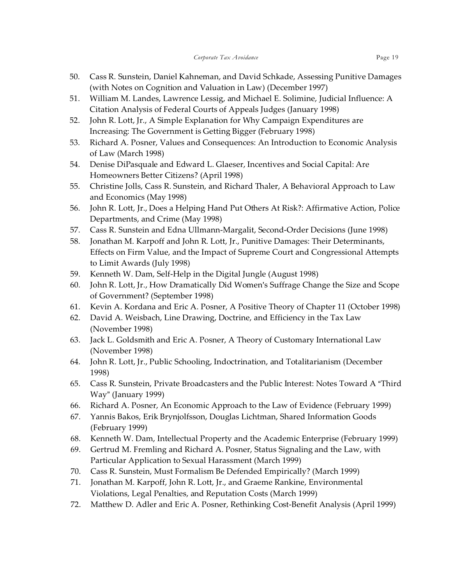- 50. Cass R. Sunstein, Daniel Kahneman, and David Schkade, Assessing Punitive Damages (with Notes on Cognition and Valuation in Law) (December 1997)
- 51. William M. Landes, Lawrence Lessig, and Michael E. Solimine, Judicial Influence: A Citation Analysis of Federal Courts of Appeals Judges (January 1998)
- 52. John R. Lott, Jr., A Simple Explanation for Why Campaign Expenditures are Increasing: The Government is Getting Bigger (February 1998)
- 53. Richard A. Posner, Values and Consequences: An Introduction to Economic Analysis of Law (March 1998)
- 54. Denise DiPasquale and Edward L. Glaeser, Incentives and Social Capital: Are Homeowners Better Citizens? (April 1998)
- 55. Christine Jolls, Cass R. Sunstein, and Richard Thaler, A Behavioral Approach to Law and Economics (May 1998)
- 56. John R. Lott, Jr., Does a Helping Hand Put Others At Risk?: Affirmative Action, Police Departments, and Crime (May 1998)
- 57. Cass R. Sunstein and Edna Ullmann-Margalit, Second-Order Decisions (June 1998)
- 58. Jonathan M. Karpoff and John R. Lott, Jr., Punitive Damages: Their Determinants, Effects on Firm Value, and the Impact of Supreme Court and Congressional Attempts to Limit Awards (July 1998)
- 59. Kenneth W. Dam, Self-Help in the Digital Jungle (August 1998)
- 60. John R. Lott, Jr., How Dramatically Did Women's Suffrage Change the Size and Scope of Government? (September 1998)
- 61. Kevin A. Kordana and Eric A. Posner, A Positive Theory of Chapter 11 (October 1998)
- 62. David A. Weisbach, Line Drawing, Doctrine, and Efficiency in the Tax Law (November 1998)
- 63. Jack L. Goldsmith and Eric A. Posner, A Theory of Customary International Law (November 1998)
- 64. John R. Lott, Jr., Public Schooling, Indoctrination, and Totalitarianism (December 1998)
- 65. Cass R. Sunstein, Private Broadcasters and the Public Interest: Notes Toward A "Third Way" (January 1999)
- 66. Richard A. Posner, An Economic Approach to the Law of Evidence (February 1999)
- 67. Yannis Bakos, Erik Brynjolfsson, Douglas Lichtman, Shared Information Goods (February 1999)
- 68. Kenneth W. Dam, Intellectual Property and the Academic Enterprise (February 1999)
- 69. Gertrud M. Fremling and Richard A. Posner, Status Signaling and the Law, with Particular Application to Sexual Harassment (March 1999)
- 70. Cass R. Sunstein, Must Formalism Be Defended Empirically? (March 1999)
- 71. Jonathan M. Karpoff, John R. Lott, Jr., and Graeme Rankine, Environmental Violations, Legal Penalties, and Reputation Costs (March 1999)
- 72. Matthew D. Adler and Eric A. Posner, Rethinking Cost-Benefit Analysis (April 1999)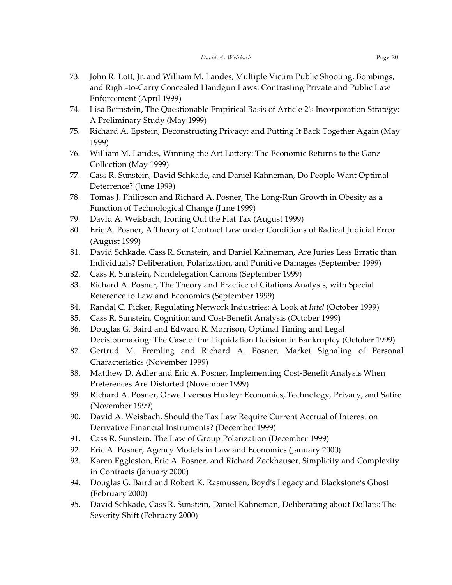- 73. John R. Lott, Jr. and William M. Landes, Multiple Victim Public Shooting, Bombings, and Right-to-Carry Concealed Handgun Laws: Contrasting Private and Public Law Enforcement (April 1999)
- 74. Lisa Bernstein, The Questionable Empirical Basis of Article 2's Incorporation Strategy: A Preliminary Study (May 1999)
- 75. Richard A. Epstein, Deconstructing Privacy: and Putting It Back Together Again (May 1999)
- 76. William M. Landes, Winning the Art Lottery: The Economic Returns to the Ganz Collection (May 1999)
- 77. Cass R. Sunstein, David Schkade, and Daniel Kahneman, Do People Want Optimal Deterrence? (June 1999)
- 78. Tomas J. Philipson and Richard A. Posner, The Long-Run Growth in Obesity as a Function of Technological Change (June 1999)
- 79. David A. Weisbach, Ironing Out the Flat Tax (August 1999)
- 80. Eric A. Posner, A Theory of Contract Law under Conditions of Radical Judicial Error (August 1999)
- 81. David Schkade, Cass R. Sunstein, and Daniel Kahneman, Are Juries Less Erratic than Individuals? Deliberation, Polarization, and Punitive Damages (September 1999)
- 82. Cass R. Sunstein, Nondelegation Canons (September 1999)
- 83. Richard A. Posner, The Theory and Practice of Citations Analysis, with Special Reference to Law and Economics (September 1999)
- 84. Randal C. Picker, Regulating Network Industries: A Look at *Intel* (October 1999)
- 85. Cass R. Sunstein, Cognition and Cost-Benefit Analysis (October 1999)
- 86. Douglas G. Baird and Edward R. Morrison, Optimal Timing and Legal Decisionmaking: The Case of the Liquidation Decision in Bankruptcy (October 1999)
- 87. Gertrud M. Fremling and Richard A. Posner, Market Signaling of Personal Characteristics (November 1999)
- 88. Matthew D. Adler and Eric A. Posner, Implementing Cost-Benefit Analysis When Preferences Are Distorted (November 1999)
- 89. Richard A. Posner, Orwell versus Huxley: Economics, Technology, Privacy, and Satire (November 1999)
- 90. David A. Weisbach, Should the Tax Law Require Current Accrual of Interest on Derivative Financial Instruments? (December 1999)
- 91. Cass R. Sunstein, The Law of Group Polarization (December 1999)
- 92. Eric A. Posner, Agency Models in Law and Economics (January 2000)
- 93. Karen Eggleston, Eric A. Posner, and Richard Zeckhauser, Simplicity and Complexity in Contracts (January 2000)
- 94. Douglas G. Baird and Robert K. Rasmussen, Boyd's Legacy and Blackstone's Ghost (February 2000)
- 95. David Schkade, Cass R. Sunstein, Daniel Kahneman, Deliberating about Dollars: The Severity Shift (February 2000)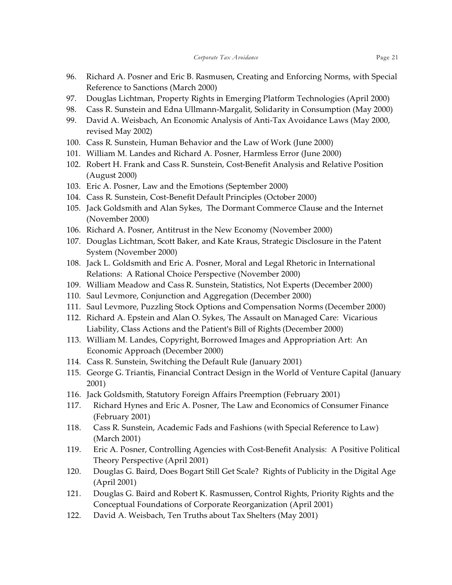- 96. Richard A. Posner and Eric B. Rasmusen, Creating and Enforcing Norms, with Special Reference to Sanctions (March 2000)
- 97. Douglas Lichtman, Property Rights in Emerging Platform Technologies (April 2000)
- 98. Cass R. Sunstein and Edna Ullmann-Margalit, Solidarity in Consumption (May 2000)
- 99. David A. Weisbach, An Economic Analysis of Anti-Tax Avoidance Laws (May 2000, revised May 2002)
- 100. Cass R. Sunstein, Human Behavior and the Law of Work (June 2000)
- 101. William M. Landes and Richard A. Posner, Harmless Error (June 2000)
- 102. Robert H. Frank and Cass R. Sunstein, Cost-Benefit Analysis and Relative Position (August 2000)
- 103. Eric A. Posner, Law and the Emotions (September 2000)
- 104. Cass R. Sunstein, Cost-Benefit Default Principles (October 2000)
- 105. Jack Goldsmith and Alan Sykes, The Dormant Commerce Clause and the Internet (November 2000)
- 106. Richard A. Posner, Antitrust in the New Economy (November 2000)
- 107. Douglas Lichtman, Scott Baker, and Kate Kraus, Strategic Disclosure in the Patent System (November 2000)
- 108. Jack L. Goldsmith and Eric A. Posner, Moral and Legal Rhetoric in International Relations: A Rational Choice Perspective (November 2000)
- 109. William Meadow and Cass R. Sunstein, Statistics, Not Experts (December 2000)
- 110. Saul Levmore, Conjunction and Aggregation (December 2000)
- 111. Saul Levmore, Puzzling Stock Options and Compensation Norms (December 2000)
- 112. Richard A. Epstein and Alan O. Sykes, The Assault on Managed Care: Vicarious Liability, Class Actions and the Patient's Bill of Rights (December 2000)
- 113. William M. Landes, Copyright, Borrowed Images and Appropriation Art: An Economic Approach (December 2000)
- 114. Cass R. Sunstein, Switching the Default Rule (January 2001)
- 115. George G. Triantis, Financial Contract Design in the World of Venture Capital (January 2001)
- 116. Jack Goldsmith, Statutory Foreign Affairs Preemption (February 2001)
- 117. Richard Hynes and Eric A. Posner, The Law and Economics of Consumer Finance (February 2001)
- 118. Cass R. Sunstein, Academic Fads and Fashions (with Special Reference to Law) (March 2001)
- 119. Eric A. Posner, Controlling Agencies with Cost-Benefit Analysis: A Positive Political Theory Perspective (April 2001)
- 120. Douglas G. Baird, Does Bogart Still Get Scale? Rights of Publicity in the Digital Age (April 2001)
- 121. Douglas G. Baird and Robert K. Rasmussen, Control Rights, Priority Rights and the Conceptual Foundations of Corporate Reorganization (April 2001)
- 122. David A. Weisbach, Ten Truths about Tax Shelters (May 2001)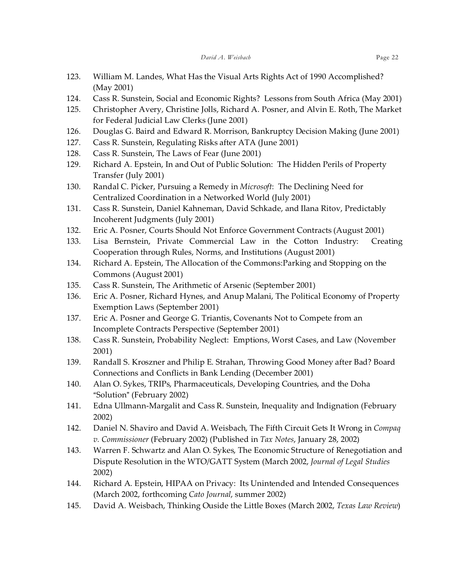- 123. William M. Landes, What Has the Visual Arts Rights Act of 1990 Accomplished? (May 2001)
- 124. Cass R. Sunstein, Social and Economic Rights? Lessons from South Africa (May 2001)
- 125. Christopher Avery, Christine Jolls, Richard A. Posner, and Alvin E. Roth, The Market for Federal Judicial Law Clerks (June 2001)
- 126. Douglas G. Baird and Edward R. Morrison, Bankruptcy Decision Making (June 2001)
- 127. Cass R. Sunstein, Regulating Risks after ATA (June 2001)
- 128. Cass R. Sunstein, The Laws of Fear (June 2001)
- 129. Richard A. Epstein, In and Out of Public Solution: The Hidden Perils of Property Transfer (July 2001)
- 130. Randal C. Picker, Pursuing a Remedy in *Microsoft*: The Declining Need for Centralized Coordination in a Networked World (July 2001)
- 131. Cass R. Sunstein, Daniel Kahneman, David Schkade, and Ilana Ritov, Predictably Incoherent Judgments (July 2001)
- 132. Eric A. Posner, Courts Should Not Enforce Government Contracts (August 2001)
- 133. Lisa Bernstein, Private Commercial Law in the Cotton Industry: Creating Cooperation through Rules, Norms, and Institutions (August 2001)
- 134. Richard A. Epstein, The Allocation of the Commons:Parking and Stopping on the Commons (August 2001)
- 135. Cass R. Sunstein, The Arithmetic of Arsenic (September 2001)
- 136. Eric A. Posner, Richard Hynes, and Anup Malani, The Political Economy of Property Exemption Laws (September 2001)
- 137. Eric A. Posner and George G. Triantis, Covenants Not to Compete from an Incomplete Contracts Perspective (September 2001)
- 138. Cass R. Sunstein, Probability Neglect: Emptions, Worst Cases, and Law (November 2001)
- 139. Randall S. Kroszner and Philip E. Strahan, Throwing Good Money after Bad? Board Connections and Conflicts in Bank Lending (December 2001)
- 140. Alan O. Sykes, TRIPs, Pharmaceuticals, Developing Countries, and the Doha "Solution" (February 2002)
- 141. Edna Ullmann-Margalit and Cass R. Sunstein, Inequality and Indignation (February 2002)
- 142. Daniel N. Shaviro and David A. Weisbach, The Fifth Circuit Gets It Wrong in *Compaq v. Commissioner* (February 2002) (Published in *Tax Notes*, January 28, 2002)
- 143. Warren F. Schwartz and Alan O. Sykes, The Economic Structure of Renegotiation and Dispute Resolution in the WTO/GATT System (March 2002, *Journal of Legal Studies* 2002)
- 144. Richard A. Epstein, HIPAA on Privacy: Its Unintended and Intended Consequences (March 2002, forthcoming *Cato Journal*, summer 2002)
- 145. David A. Weisbach, Thinking Ouside the Little Boxes (March 2002, *Texas Law Review*)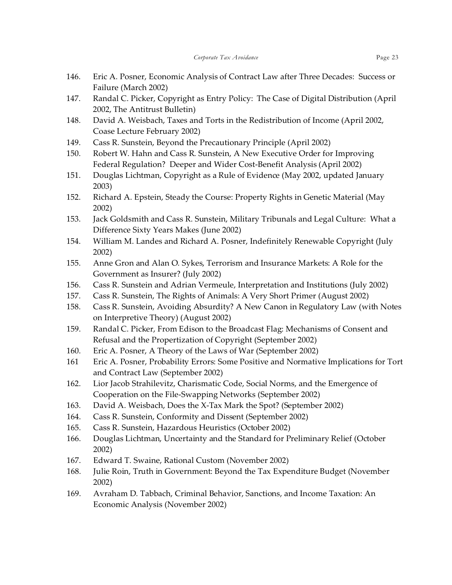- 146. Eric A. Posner, Economic Analysis of Contract Law after Three Decades: Success or Failure (March 2002)
- 147. Randal C. Picker, Copyright as Entry Policy: The Case of Digital Distribution (April 2002, The Antitrust Bulletin)
- 148. David A. Weisbach, Taxes and Torts in the Redistribution of Income (April 2002, Coase Lecture February 2002)
- 149. Cass R. Sunstein, Beyond the Precautionary Principle (April 2002)
- 150. Robert W. Hahn and Cass R. Sunstein, A New Executive Order for Improving Federal Regulation? Deeper and Wider Cost-Benefit Analysis (April 2002)
- 151. Douglas Lichtman, Copyright as a Rule of Evidence (May 2002, updated January 2003)
- 152. Richard A. Epstein, Steady the Course: Property Rights in Genetic Material (May 2002)
- 153. Jack Goldsmith and Cass R. Sunstein, Military Tribunals and Legal Culture: What a Difference Sixty Years Makes (June 2002)
- 154. William M. Landes and Richard A. Posner, Indefinitely Renewable Copyright (July 2002)
- 155. Anne Gron and Alan O. Sykes, Terrorism and Insurance Markets: A Role for the Government as Insurer? (July 2002)
- 156. Cass R. Sunstein and Adrian Vermeule, Interpretation and Institutions (July 2002)
- 157. Cass R. Sunstein, The Rights of Animals: A Very Short Primer (August 2002)
- 158. Cass R. Sunstein, Avoiding Absurdity? A New Canon in Regulatory Law (with Notes on Interpretive Theory) (August 2002)
- 159. Randal C. Picker, From Edison to the Broadcast Flag: Mechanisms of Consent and Refusal and the Propertization of Copyright (September 2002)
- 160. Eric A. Posner, A Theory of the Laws of War (September 2002)
- 161 Eric A. Posner, Probability Errors: Some Positive and Normative Implications for Tort and Contract Law (September 2002)
- 162. Lior Jacob Strahilevitz, Charismatic Code, Social Norms, and the Emergence of Cooperation on the File-Swapping Networks (September 2002)
- 163. David A. Weisbach, Does the X-Tax Mark the Spot? (September 2002)
- 164. Cass R. Sunstein, Conformity and Dissent (September 2002)
- 165. Cass R. Sunstein, Hazardous Heuristics (October 2002)
- 166. Douglas Lichtman, Uncertainty and the Standard for Preliminary Relief (October 2002)
- 167. Edward T. Swaine, Rational Custom (November 2002)
- 168. Julie Roin, Truth in Government: Beyond the Tax Expenditure Budget (November 2002)
- 169. Avraham D. Tabbach, Criminal Behavior, Sanctions, and Income Taxation: An Economic Analysis (November 2002)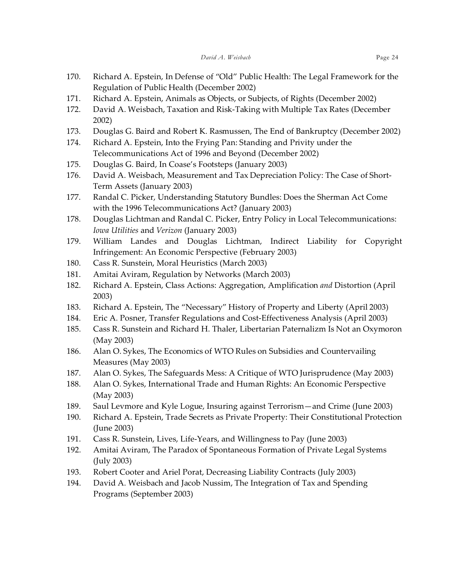- 170. Richard A. Epstein, In Defense of "Old" Public Health: The Legal Framework for the Regulation of Public Health (December 2002)
- 171. Richard A. Epstein, Animals as Objects, or Subjects, of Rights (December 2002)
- 172. David A. Weisbach, Taxation and Risk-Taking with Multiple Tax Rates (December 2002)
- 173. Douglas G. Baird and Robert K. Rasmussen, The End of Bankruptcy (December 2002)
- 174. Richard A. Epstein, Into the Frying Pan: Standing and Privity under the Telecommunications Act of 1996 and Beyond (December 2002)
- 175. Douglas G. Baird, In Coase's Footsteps (January 2003)
- 176. David A. Weisbach, Measurement and Tax Depreciation Policy: The Case of Short-Term Assets (January 2003)
- 177. Randal C. Picker, Understanding Statutory Bundles: Does the Sherman Act Come with the 1996 Telecommunications Act? (January 2003)
- 178. Douglas Lichtman and Randal C. Picker, Entry Policy in Local Telecommunications: *Iowa Utilities* and *Verizon* (January 2003)
- 179. William Landes and Douglas Lichtman, Indirect Liability for Copyright Infringement: An Economic Perspective (February 2003)
- 180. Cass R. Sunstein, Moral Heuristics (March 2003)
- 181. Amitai Aviram, Regulation by Networks (March 2003)
- 182. Richard A. Epstein, Class Actions: Aggregation, Amplification *and* Distortion (April 2003)
- 183. Richard A. Epstein, The "Necessary" History of Property and Liberty (April 2003)
- 184. Eric A. Posner, Transfer Regulations and Cost-Effectiveness Analysis (April 2003)
- 185. Cass R. Sunstein and Richard H. Thaler, Libertarian Paternalizm Is Not an Oxymoron (May 2003)
- 186. Alan O. Sykes, The Economics of WTO Rules on Subsidies and Countervailing Measures (May 2003)
- 187. Alan O. Sykes, The Safeguards Mess: A Critique of WTO Jurisprudence (May 2003)
- 188. Alan O. Sykes, International Trade and Human Rights: An Economic Perspective (May 2003)
- 189. Saul Levmore and Kyle Logue, Insuring against Terrorism—and Crime (June 2003)
- 190. Richard A. Epstein, Trade Secrets as Private Property: Their Constitutional Protection (June 2003)
- 191. Cass R. Sunstein, Lives, Life-Years, and Willingness to Pay (June 2003)
- 192. Amitai Aviram, The Paradox of Spontaneous Formation of Private Legal Systems (July 2003)
- 193. Robert Cooter and Ariel Porat, Decreasing Liability Contracts (July 2003)
- 194. David A. Weisbach and Jacob Nussim, The Integration of Tax and Spending Programs (September 2003)